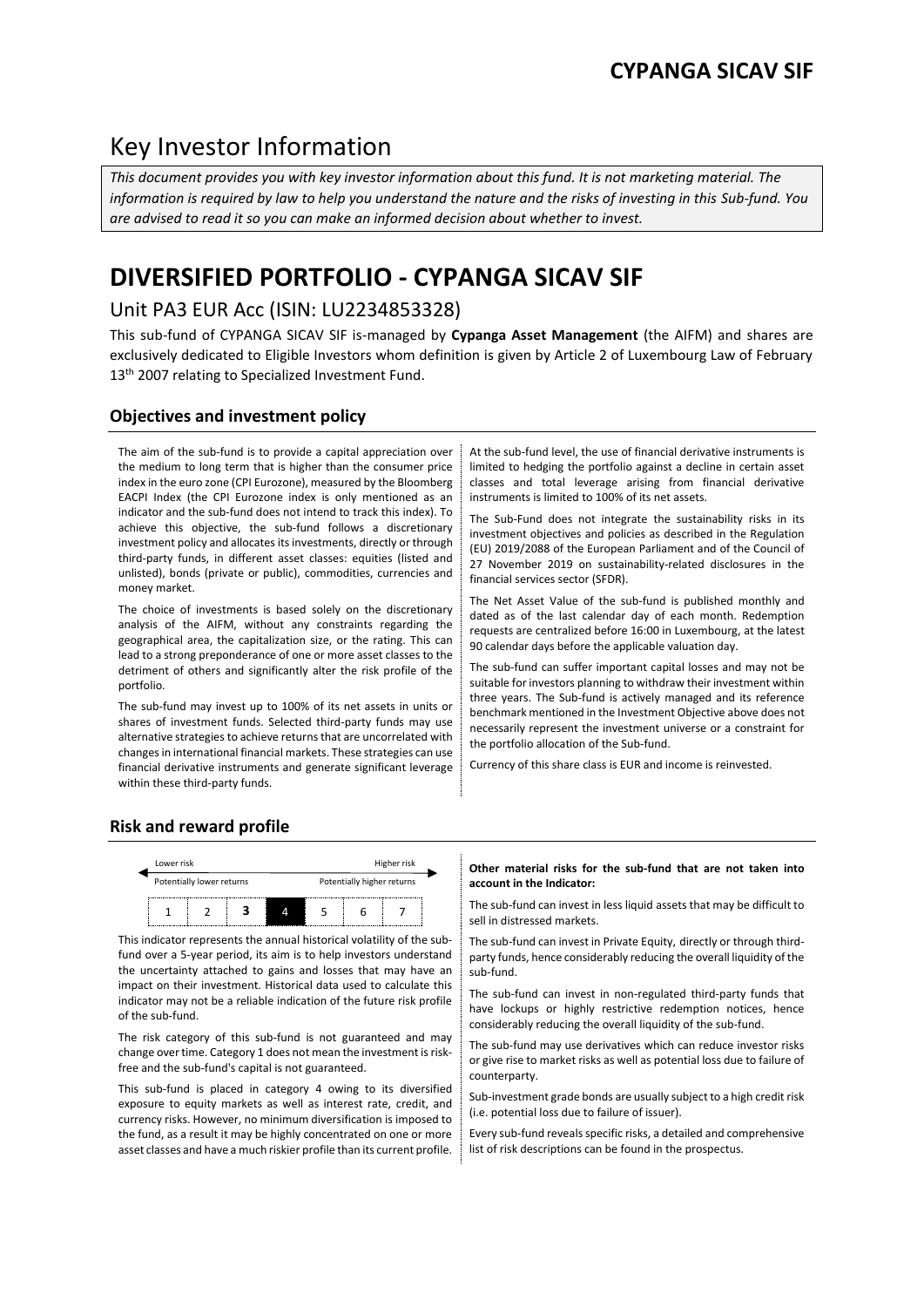# Key Investor Information

*This document provides you with key investor information about this fund. It is not marketing material. The information is required by law to help you understand the nature and the risks of investing in this Sub-fund. You are advised to read it so you can make an informed decision about whether to invest.*

# **DIVERSIFIED PORTFOLIO - CYPANGA SICAV SIF**

# Unit PA3 EUR Acc (ISIN: LU2234853328)

This sub-fund of CYPANGA SICAV SIF is-managed by **Cypanga Asset Management** (the AIFM) and shares are exclusively dedicated to Eligible Investors whom definition is given by Article 2 of Luxembourg Law of February 13<sup>th</sup> 2007 relating to Specialized Investment Fund.

## **Objectives and investment policy**

The aim of the sub-fund is to provide a capital appreciation over the medium to long term that is higher than the consumer price index in the euro zone (CPI Eurozone), measured by the Bloomberg EACPI Index (the CPI Eurozone index is only mentioned as an indicator and the sub-fund does not intend to track this index). To achieve this objective, the sub-fund follows a discretionary investment policy and allocates its investments, directly or through third-party funds, in different asset classes: equities (listed and unlisted), bonds (private or public), commodities, currencies and money market.

The choice of investments is based solely on the discretionary analysis of the AIFM, without any constraints regarding the geographical area, the capitalization size, or the rating. This can lead to a strong preponderance of one or more asset classes to the detriment of others and significantly alter the risk profile of the portfolio.

The sub-fund may invest up to 100% of its net assets in units or shares of investment funds. Selected third-party funds may use alternative strategies to achieve returns that are uncorrelated with changes in international financial markets. These strategies can use financial derivative instruments and generate significant leverage within these third-party funds.

At the sub-fund level, the use of financial derivative instruments is limited to hedging the portfolio against a decline in certain asset classes and total leverage arising from financial derivative instruments is limited to 100% of its net assets.

The Sub-Fund does not integrate the sustainability risks in its investment objectives and policies as described in the Regulation (EU) 2019/2088 of the European Parliament and of the Council of 27 November 2019 on sustainability-related disclosures in the financial services sector (SFDR).

The Net Asset Value of the sub-fund is published monthly and dated as of the last calendar day of each month. Redemption requests are centralized before 16:00 in Luxembourg, at the latest 90 calendar days before the applicable valuation day.

The sub-fund can suffer important capital losses and may not be suitable for investors planning to withdraw their investment within three years. The Sub-fund is actively managed and its reference benchmark mentioned in the Investment Objective above does not necessarily represent the investment universe or a constraint for the portfolio allocation of the Sub-fund.

Currency of this share class is EUR and income is reinvested.

## **Risk and reward profile**



This indicator represents the annual historical volatility of the subfund over a 5-year period, its aim is to help investors understand the uncertainty attached to gains and losses that may have an impact on their investment. Historical data used to calculate this indicator may not be a reliable indication of the future risk profile of the sub-fund.

The risk category of this sub-fund is not guaranteed and may change over time. Category 1 does not mean the investment is riskfree and the sub-fund's capital is not guaranteed.

This sub-fund is placed in category 4 owing to its diversified exposure to equity markets as well as interest rate, credit, and currency risks. However, no minimum diversification is imposed to the fund, as a result it may be highly concentrated on one or more asset classes and have a much riskier profile than its current profile.

### **Other material risks for the sub-fund that are not taken into account in the Indicator:**

The sub-fund can invest in less liquid assets that may be difficult to sell in distressed markets.

The sub-fund can invest in Private Equity, directly or through thirdparty funds, hence considerably reducing the overall liquidity of the sub-fund.

The sub-fund can invest in non-regulated third-party funds that have lockups or highly restrictive redemption notices, hence considerably reducing the overall liquidity of the sub-fund.

The sub-fund may use derivatives which can reduce investor risks or give rise to market risks as well as potential loss due to failure of counterparty.

Sub-investment grade bonds are usually subject to a high credit risk (i.e. potential loss due to failure of issuer).

Every sub-fund reveals specific risks, a detailed and comprehensive list of risk descriptions can be found in the prospectus.